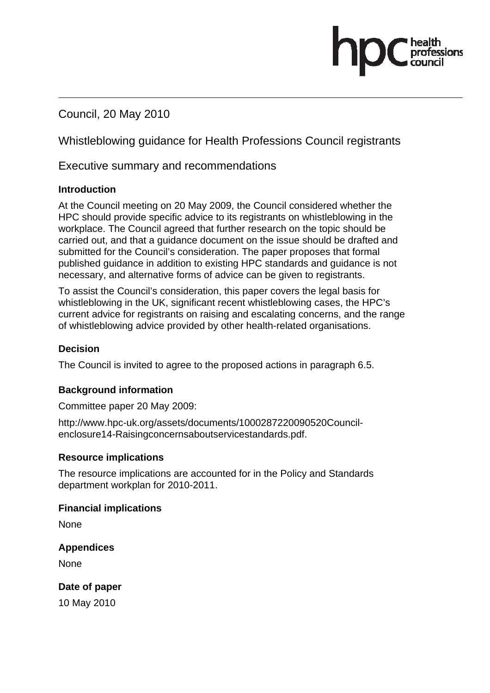Council, 20 May 2010

Whistleblowing guidance for Health Professions Council registrants

Executive summary and recommendations

#### **Introduction**

At the Council meeting on 20 May 2009, the Council considered whether the HPC should provide specific advice to its registrants on whistleblowing in the workplace. The Council agreed that further research on the topic should be carried out, and that a guidance document on the issue should be drafted and submitted for the Council's consideration. The paper proposes that formal published guidance in addition to existing HPC standards and guidance is not necessary, and alternative forms of advice can be given to registrants.

To assist the Council's consideration, this paper covers the legal basis for whistleblowing in the UK, significant recent whistleblowing cases, the HPC's current advice for registrants on raising and escalating concerns, and the range of whistleblowing advice provided by other health-related organisations.

#### **Decision**

The Council is invited to agree to the proposed actions in paragraph 6.5.

#### **Background information**

Committee paper 20 May 2009:

http://www.hpc-uk.org/assets/documents/1000287220090520Councilenclosure14-Raisingconcernsaboutservicestandards.pdf.

#### **Resource implications**

The resource implications are accounted for in the Policy and Standards department workplan for 2010-2011.

#### **Financial implications**

None

#### **Appendices**

**None** 

**Date of paper** 

10 May 2010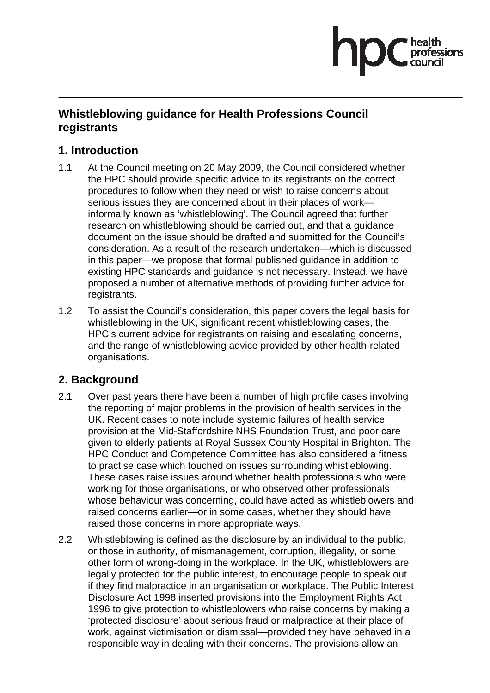# nfessions

## **Whistleblowing guidance for Health Professions Council registrants**

# **1. Introduction**

- 1.1 At the Council meeting on 20 May 2009, the Council considered whether the HPC should provide specific advice to its registrants on the correct procedures to follow when they need or wish to raise concerns about serious issues they are concerned about in their places of work informally known as 'whistleblowing'. The Council agreed that further research on whistleblowing should be carried out, and that a guidance document on the issue should be drafted and submitted for the Council's consideration. As a result of the research undertaken—which is discussed in this paper—we propose that formal published guidance in addition to existing HPC standards and guidance is not necessary. Instead, we have proposed a number of alternative methods of providing further advice for registrants.
- 1.2 To assist the Council's consideration, this paper covers the legal basis for whistleblowing in the UK, significant recent whistleblowing cases, the HPC's current advice for registrants on raising and escalating concerns, and the range of whistleblowing advice provided by other health-related organisations.

# **2. Background**

- 2.1 Over past years there have been a number of high profile cases involving the reporting of major problems in the provision of health services in the UK. Recent cases to note include systemic failures of health service provision at the Mid-Staffordshire NHS Foundation Trust, and poor care given to elderly patients at Royal Sussex County Hospital in Brighton. The HPC Conduct and Competence Committee has also considered a fitness to practise case which touched on issues surrounding whistleblowing. These cases raise issues around whether health professionals who were working for those organisations, or who observed other professionals whose behaviour was concerning, could have acted as whistleblowers and raised concerns earlier—or in some cases, whether they should have raised those concerns in more appropriate ways.
- 2.2 Whistleblowing is defined as the disclosure by an individual to the public, or those in authority, of mismanagement, corruption, illegality, or some other form of wrong-doing in the workplace. In the UK, whistleblowers are legally protected for the public interest, to encourage people to speak out if they find malpractice in an organisation or workplace. The Public Interest Disclosure Act 1998 inserted provisions into the Employment Rights Act 1996 to give protection to whistleblowers who raise concerns by making a 'protected disclosure' about serious fraud or malpractice at their place of work, against victimisation or dismissal—provided they have behaved in a responsible way in dealing with their concerns. The provisions allow an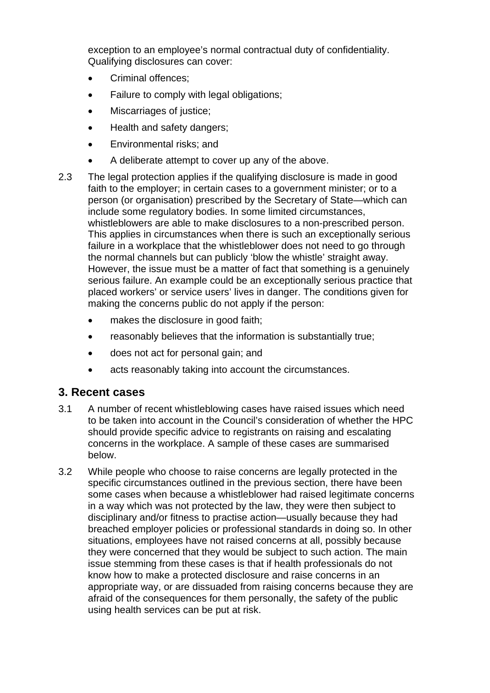exception to an employee's normal contractual duty of confidentiality. Qualifying disclosures can cover:

- Criminal offences;
- Failure to comply with legal obligations;
- Miscarriages of justice;
- Health and safety dangers;
- Environmental risks; and
- A deliberate attempt to cover up any of the above.
- 2.3 The legal protection applies if the qualifying disclosure is made in good faith to the employer; in certain cases to a government minister; or to a person (or organisation) prescribed by the Secretary of State—which can include some regulatory bodies. In some limited circumstances, whistleblowers are able to make disclosures to a non-prescribed person. This applies in circumstances when there is such an exceptionally serious failure in a workplace that the whistleblower does not need to go through the normal channels but can publicly 'blow the whistle' straight away. However, the issue must be a matter of fact that something is a genuinely serious failure. An example could be an exceptionally serious practice that placed workers' or service users' lives in danger. The conditions given for making the concerns public do not apply if the person:
	- makes the disclosure in good faith;
	- reasonably believes that the information is substantially true;
	- does not act for personal gain; and
	- acts reasonably taking into account the circumstances.

#### **3. Recent cases**

- 3.1 A number of recent whistleblowing cases have raised issues which need to be taken into account in the Council's consideration of whether the HPC should provide specific advice to registrants on raising and escalating concerns in the workplace. A sample of these cases are summarised below.
- 3.2 While people who choose to raise concerns are legally protected in the specific circumstances outlined in the previous section, there have been some cases when because a whistleblower had raised legitimate concerns in a way which was not protected by the law, they were then subject to disciplinary and/or fitness to practise action—usually because they had breached employer policies or professional standards in doing so. In other situations, employees have not raised concerns at all, possibly because they were concerned that they would be subject to such action. The main issue stemming from these cases is that if health professionals do not know how to make a protected disclosure and raise concerns in an appropriate way, or are dissuaded from raising concerns because they are afraid of the consequences for them personally, the safety of the public using health services can be put at risk.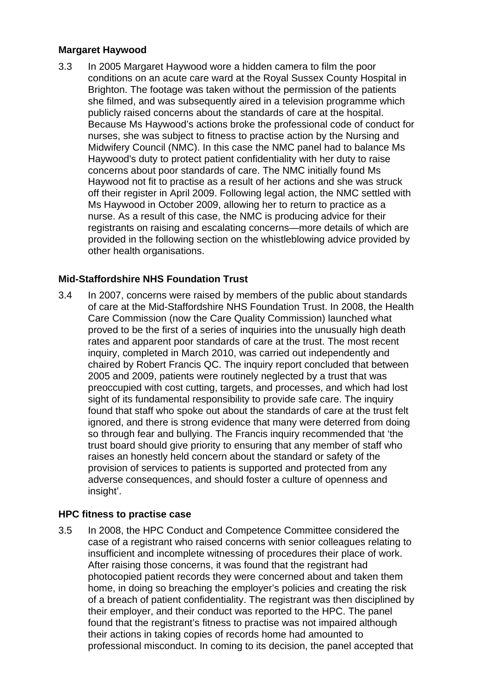#### **Margaret Haywood**

3.3 In 2005 Margaret Haywood wore a hidden camera to film the poor conditions on an acute care ward at the Royal Sussex County Hospital in Brighton. The footage was taken without the permission of the patients she filmed, and was subsequently aired in a television programme which publicly raised concerns about the standards of care at the hospital. Because Ms Haywood's actions broke the professional code of conduct for nurses, she was subject to fitness to practise action by the Nursing and Midwifery Council (NMC). In this case the NMC panel had to balance Ms Haywood's duty to protect patient confidentiality with her duty to raise concerns about poor standards of care. The NMC initially found Ms Haywood not fit to practise as a result of her actions and she was struck off their register in April 2009. Following legal action, the NMC settled with Ms Haywood in October 2009, allowing her to return to practice as a nurse. As a result of this case, the NMC is producing advice for their registrants on raising and escalating concerns—more details of which are provided in the following section on the whistleblowing advice provided by other health organisations.

#### **Mid-Staffordshire NHS Foundation Trust**

3.4 In 2007, concerns were raised by members of the public about standards of care at the Mid-Staffordshire NHS Foundation Trust. In 2008, the Health Care Commission (now the Care Quality Commission) launched what proved to be the first of a series of inquiries into the unusually high death rates and apparent poor standards of care at the trust. The most recent inquiry, completed in March 2010, was carried out independently and chaired by Robert Francis QC. The inquiry report concluded that between 2005 and 2009, patients were routinely neglected by a trust that was preoccupied with cost cutting, targets, and processes, and which had lost sight of its fundamental responsibility to provide safe care. The inquiry found that staff who spoke out about the standards of care at the trust felt ignored, and there is strong evidence that many were deterred from doing so through fear and bullying. The Francis inquiry recommended that 'the trust board should give priority to ensuring that any member of staff who raises an honestly held concern about the standard or safety of the provision of services to patients is supported and protected from any adverse consequences, and should foster a culture of openness and insight'.

#### **HPC fitness to practise case**

3.5 In 2008, the HPC Conduct and Competence Committee considered the case of a registrant who raised concerns with senior colleagues relating to insufficient and incomplete witnessing of procedures their place of work. After raising those concerns, it was found that the registrant had photocopied patient records they were concerned about and taken them home, in doing so breaching the employer's policies and creating the risk of a breach of patient confidentiality. The registrant was then disciplined by their employer, and their conduct was reported to the HPC. The panel found that the registrant's fitness to practise was not impaired although their actions in taking copies of records home had amounted to professional misconduct. In coming to its decision, the panel accepted that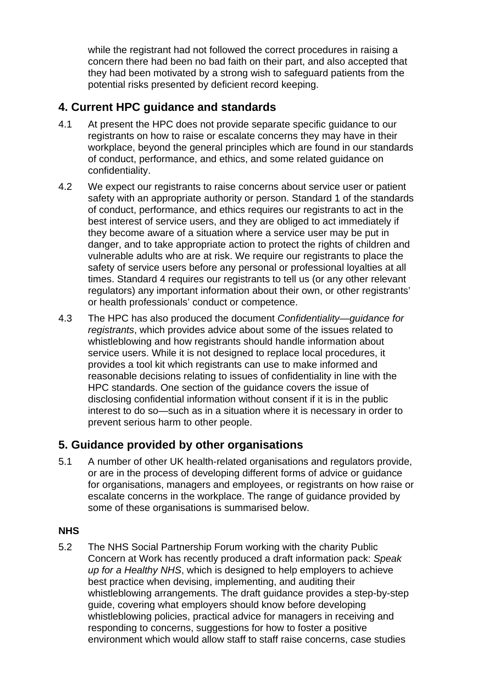while the registrant had not followed the correct procedures in raising a concern there had been no bad faith on their part, and also accepted that they had been motivated by a strong wish to safeguard patients from the potential risks presented by deficient record keeping.

# **4. Current HPC guidance and standards**

- 4.1 At present the HPC does not provide separate specific guidance to our registrants on how to raise or escalate concerns they may have in their workplace, beyond the general principles which are found in our standards of conduct, performance, and ethics, and some related guidance on confidentiality.
- 4.2 We expect our registrants to raise concerns about service user or patient safety with an appropriate authority or person. Standard 1 of the standards of conduct, performance, and ethics requires our registrants to act in the best interest of service users, and they are obliged to act immediately if they become aware of a situation where a service user may be put in danger, and to take appropriate action to protect the rights of children and vulnerable adults who are at risk. We require our registrants to place the safety of service users before any personal or professional loyalties at all times. Standard 4 requires our registrants to tell us (or any other relevant regulators) any important information about their own, or other registrants' or health professionals' conduct or competence.
- 4.3 The HPC has also produced the document *Confidentiality—guidance for registrants*, which provides advice about some of the issues related to whistleblowing and how registrants should handle information about service users. While it is not designed to replace local procedures, it provides a tool kit which registrants can use to make informed and reasonable decisions relating to issues of confidentiality in line with the HPC standards. One section of the guidance covers the issue of disclosing confidential information without consent if it is in the public interest to do so—such as in a situation where it is necessary in order to prevent serious harm to other people.

# **5. Guidance provided by other organisations**

5.1 A number of other UK health-related organisations and regulators provide, or are in the process of developing different forms of advice or guidance for organisations, managers and employees, or registrants on how raise or escalate concerns in the workplace. The range of guidance provided by some of these organisations is summarised below.

#### **NHS**

5.2 The NHS Social Partnership Forum working with the charity Public Concern at Work has recently produced a draft information pack: *Speak up for a Healthy NHS*, which is designed to help employers to achieve best practice when devising, implementing, and auditing their whistleblowing arrangements. The draft guidance provides a step-by-step guide, covering what employers should know before developing whistleblowing policies, practical advice for managers in receiving and responding to concerns, suggestions for how to foster a positive environment which would allow staff to staff raise concerns, case studies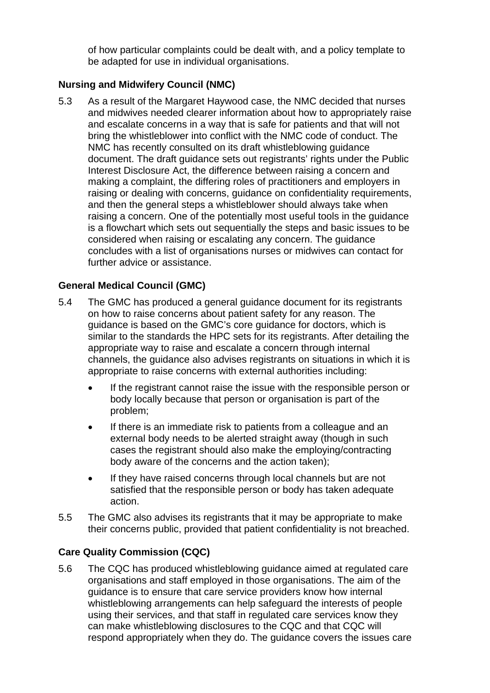of how particular complaints could be dealt with, and a policy template to be adapted for use in individual organisations.

## **Nursing and Midwifery Council (NMC)**

5.3 As a result of the Margaret Haywood case, the NMC decided that nurses and midwives needed clearer information about how to appropriately raise and escalate concerns in a way that is safe for patients and that will not bring the whistleblower into conflict with the NMC code of conduct. The NMC has recently consulted on its draft whistleblowing guidance document. The draft guidance sets out registrants' rights under the Public Interest Disclosure Act, the difference between raising a concern and making a complaint, the differing roles of practitioners and employers in raising or dealing with concerns, guidance on confidentiality requirements, and then the general steps a whistleblower should always take when raising a concern. One of the potentially most useful tools in the guidance is a flowchart which sets out sequentially the steps and basic issues to be considered when raising or escalating any concern. The guidance concludes with a list of organisations nurses or midwives can contact for further advice or assistance.

#### **General Medical Council (GMC)**

- 5.4 The GMC has produced a general guidance document for its registrants on how to raise concerns about patient safety for any reason. The guidance is based on the GMC's core guidance for doctors, which is similar to the standards the HPC sets for its registrants. After detailing the appropriate way to raise and escalate a concern through internal channels, the guidance also advises registrants on situations in which it is appropriate to raise concerns with external authorities including:
	- If the registrant cannot raise the issue with the responsible person or body locally because that person or organisation is part of the problem;
	- If there is an immediate risk to patients from a colleague and an external body needs to be alerted straight away (though in such cases the registrant should also make the employing/contracting body aware of the concerns and the action taken);
	- If they have raised concerns through local channels but are not satisfied that the responsible person or body has taken adequate action.
- 5.5 The GMC also advises its registrants that it may be appropriate to make their concerns public, provided that patient confidentiality is not breached.

#### **Care Quality Commission (CQC)**

5.6 The CQC has produced whistleblowing guidance aimed at regulated care organisations and staff employed in those organisations. The aim of the guidance is to ensure that care service providers know how internal whistleblowing arrangements can help safeguard the interests of people using their services, and that staff in regulated care services know they can make whistleblowing disclosures to the CQC and that CQC will respond appropriately when they do. The guidance covers the issues care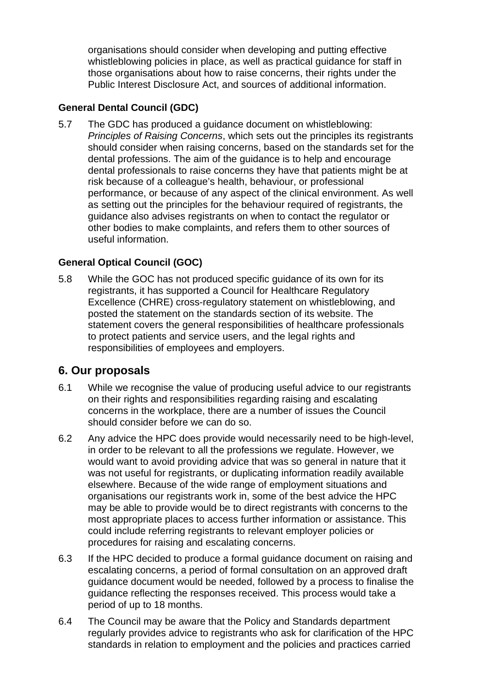organisations should consider when developing and putting effective whistleblowing policies in place, as well as practical guidance for staff in those organisations about how to raise concerns, their rights under the Public Interest Disclosure Act, and sources of additional information.

## **General Dental Council (GDC)**

5.7 The GDC has produced a guidance document on whistleblowing: *Principles of Raising Concerns*, which sets out the principles its registrants should consider when raising concerns, based on the standards set for the dental professions. The aim of the guidance is to help and encourage dental professionals to raise concerns they have that patients might be at risk because of a colleague's health, behaviour, or professional performance, or because of any aspect of the clinical environment. As well as setting out the principles for the behaviour required of registrants, the guidance also advises registrants on when to contact the regulator or other bodies to make complaints, and refers them to other sources of useful information.

## **General Optical Council (GOC)**

5.8 While the GOC has not produced specific guidance of its own for its registrants, it has supported a Council for Healthcare Regulatory Excellence (CHRE) cross-regulatory statement on whistleblowing, and posted the statement on the standards section of its website. The statement covers the general responsibilities of healthcare professionals to protect patients and service users, and the legal rights and responsibilities of employees and employers.

## **6. Our proposals**

- 6.1 While we recognise the value of producing useful advice to our registrants on their rights and responsibilities regarding raising and escalating concerns in the workplace, there are a number of issues the Council should consider before we can do so.
- 6.2 Any advice the HPC does provide would necessarily need to be high-level, in order to be relevant to all the professions we regulate. However, we would want to avoid providing advice that was so general in nature that it was not useful for registrants, or duplicating information readily available elsewhere. Because of the wide range of employment situations and organisations our registrants work in, some of the best advice the HPC may be able to provide would be to direct registrants with concerns to the most appropriate places to access further information or assistance. This could include referring registrants to relevant employer policies or procedures for raising and escalating concerns.
- 6.3 If the HPC decided to produce a formal guidance document on raising and escalating concerns, a period of formal consultation on an approved draft guidance document would be needed, followed by a process to finalise the guidance reflecting the responses received. This process would take a period of up to 18 months.
- 6.4 The Council may be aware that the Policy and Standards department regularly provides advice to registrants who ask for clarification of the HPC standards in relation to employment and the policies and practices carried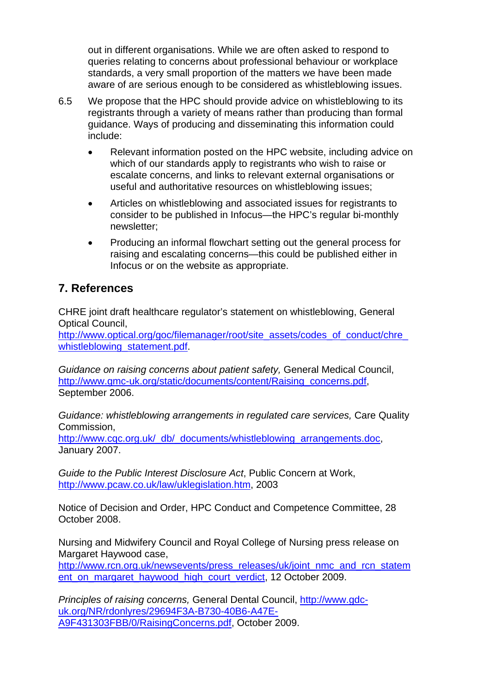out in different organisations. While we are often asked to respond to queries relating to concerns about professional behaviour or workplace standards, a very small proportion of the matters we have been made aware of are serious enough to be considered as whistleblowing issues.

- 6.5 We propose that the HPC should provide advice on whistleblowing to its registrants through a variety of means rather than producing than formal guidance. Ways of producing and disseminating this information could include:
	- Relevant information posted on the HPC website, including advice on which of our standards apply to registrants who wish to raise or escalate concerns, and links to relevant external organisations or useful and authoritative resources on whistleblowing issues;
	- Articles on whistleblowing and associated issues for registrants to consider to be published in Infocus—the HPC's regular bi-monthly newsletter;
	- Producing an informal flowchart setting out the general process for raising and escalating concerns—this could be published either in Infocus or on the website as appropriate.

# **7. References**

CHRE joint draft healthcare regulator's statement on whistleblowing, General Optical Council,

http://www.optical.org/goc/filemanager/root/site\_assets/codes\_of\_conduct/chre whistleblowing\_statement.pdf.

*Guidance on raising concerns about patient safety,* General Medical Council, http://www.gmc-uk.org/static/documents/content/Raising\_concerns.pdf, September 2006.

*Guidance: whistleblowing arrangements in regulated care services,* Care Quality Commission,

http://www.cqc.org.uk/\_db/\_documents/whistleblowing\_arrangements.doc, January 2007.

*Guide to the Public Interest Disclosure Act*, Public Concern at Work, http://www.pcaw.co.uk/law/uklegislation.htm, 2003

Notice of Decision and Order, HPC Conduct and Competence Committee, 28 October 2008.

Nursing and Midwifery Council and Royal College of Nursing press release on Margaret Haywood case,

http://www.rcn.org.uk/newsevents/press\_releases/uk/joint\_nmc\_and\_rcn\_statem ent\_on\_margaret\_haywood\_high\_court\_verdict, 12 October 2009.

*Principles of raising concerns,* General Dental Council, http://www.gdcuk.org/NR/rdonlyres/29694F3A-B730-40B6-A47E-A9F431303FBB/0/RaisingConcerns.pdf, October 2009.